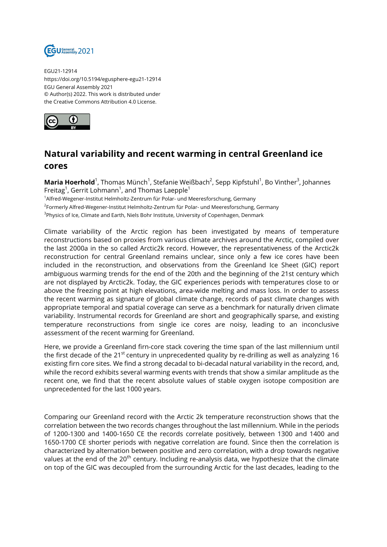

EGU21-12914 https://doi.org/10.5194/egusphere-egu21-12914 EGU General Assembly 2021 © Author(s) 2022. This work is distributed under the Creative Commons Attribution 4.0 License.



## **Natural variability and recent warming in central Greenland ice cores**

**Maria Hoerhold**<sup>1</sup>, Thomas Münch<sup>1</sup>, Stefanie Weißbach<sup>2</sup>, Sepp Kipfstuhl<sup>1</sup>, Bo Vinther<sup>3</sup>, Johannes Freitag $^1$ , Gerrit Lohmann $^1$ , and Thomas Laepple $^1$ 

<sup>1</sup>Alfred-Wegener-Institut Helmholtz-Zentrum für Polar- und Meeresforschung, Germany <sup>2</sup>Formerly Alfred-Wegener-Institut Helmholtz-Zentrum für Polar- und Meeresforschung, Germany <sup>3</sup>Physics of Ice, Climate and Earth, Niels Bohr Institute, University of Copenhagen, Denmark

Climate variability of the Arctic region has been investigated by means of temperature reconstructions based on proxies from various climate archives around the Arctic, compiled over the last 2000a in the so called Arctic2k record. However, the representativeness of the Arctic2k reconstruction for central Greenland remains unclear, since only a few ice cores have been included in the reconstruction, and observations from the Greenland Ice Sheet (GIC) report ambiguous warming trends for the end of the 20th and the beginning of the 21st century which are not displayed by Arctic2k. Today, the GIC experiences periods with temperatures close to or above the freezing point at high elevations, area-wide melting and mass loss. In order to assess the recent warming as signature of global climate change, records of past climate changes with appropriate temporal and spatial coverage can serve as a benchmark for naturally driven climate variability. Instrumental records for Greenland are short and geographically sparse, and existing temperature reconstructions from single ice cores are noisy, leading to an inconclusive assessment of the recent warming for Greenland.

Here, we provide a Greenland firn-core stack covering the time span of the last millennium until the first decade of the 21<sup>st</sup> century in unprecedented quality by re-drilling as well as analyzing 16 existing firn core sites. We find a strong decadal to bi-decadal natural variability in the record, and, while the record exhibits several warming events with trends that show a similar amplitude as the recent one, we find that the recent absolute values of stable oxygen isotope composition are unprecedented for the last 1000 years.

Comparing our Greenland record with the Arctic 2k temperature reconstruction shows that the correlation between the two records changes throughout the last millennium. While in the periods of 1200-1300 and 1400-1650 CE the records correlate positively, between 1300 and 1400 and 1650-1700 CE shorter periods with negative correlation are found. Since then the correlation is characterized by alternation between positive and zero correlation, with a drop towards negative values at the end of the 20<sup>th</sup> century. Including re-analysis data, we hypothesize that the climate on top of the GIC was decoupled from the surrounding Arctic for the last decades, leading to the